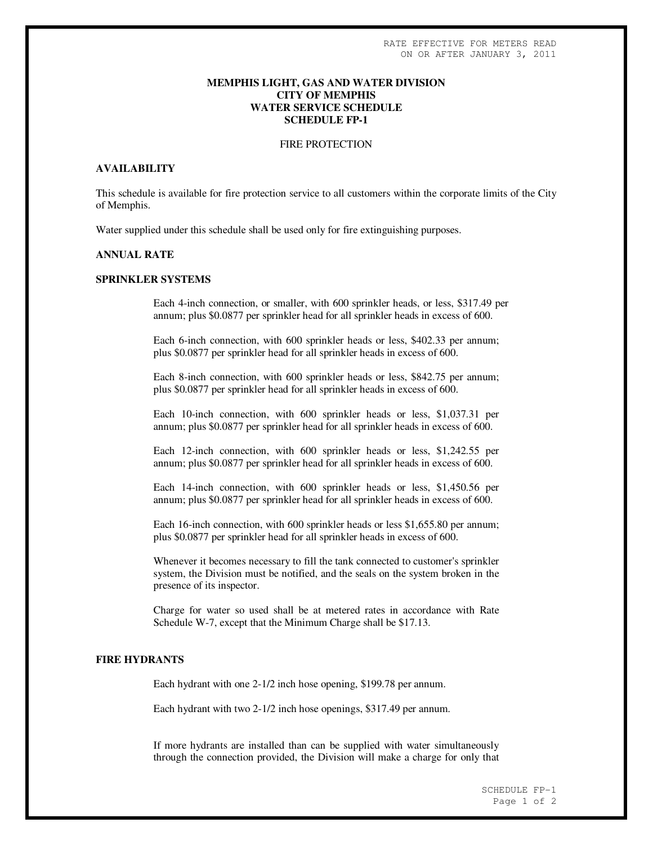# **MEMPHIS LIGHT, GAS AND WATER DIVISION CITY OF MEMPHIS WATER SERVICE SCHEDULE SCHEDULE FP-1**

#### FIRE PROTECTION

### **AVAILABILITY**

This schedule is available for fire protection service to all customers within the corporate limits of the City of Memphis.

Water supplied under this schedule shall be used only for fire extinguishing purposes.

## **ANNUAL RATE**

### **SPRINKLER SYSTEMS**

Each 4-inch connection, or smaller, with 600 sprinkler heads, or less, \$317.49 per annum; plus \$0.0877 per sprinkler head for all sprinkler heads in excess of 600.

Each 6-inch connection, with 600 sprinkler heads or less, \$402.33 per annum; plus \$0.0877 per sprinkler head for all sprinkler heads in excess of 600.

Each 8-inch connection, with 600 sprinkler heads or less, \$842.75 per annum; plus \$0.0877 per sprinkler head for all sprinkler heads in excess of 600.

Each 10-inch connection, with 600 sprinkler heads or less, \$1,037.31 per annum; plus \$0.0877 per sprinkler head for all sprinkler heads in excess of 600.

Each 12-inch connection, with 600 sprinkler heads or less, \$1,242.55 per annum; plus \$0.0877 per sprinkler head for all sprinkler heads in excess of 600.

Each 14-inch connection, with 600 sprinkler heads or less, \$1,450.56 per annum; plus \$0.0877 per sprinkler head for all sprinkler heads in excess of 600.

Each 16-inch connection, with 600 sprinkler heads or less \$1,655.80 per annum; plus \$0.0877 per sprinkler head for all sprinkler heads in excess of 600.

Whenever it becomes necessary to fill the tank connected to customer's sprinkler system, the Division must be notified, and the seals on the system broken in the presence of its inspector.

Charge for water so used shall be at metered rates in accordance with Rate Schedule W-7, except that the Minimum Charge shall be \$17.13.

# **FIRE HYDRANTS**

Each hydrant with one 2-1/2 inch hose opening, \$199.78 per annum.

Each hydrant with two 2-1/2 inch hose openings, \$317.49 per annum.

If more hydrants are installed than can be supplied with water simultaneously through the connection provided, the Division will make a charge for only that